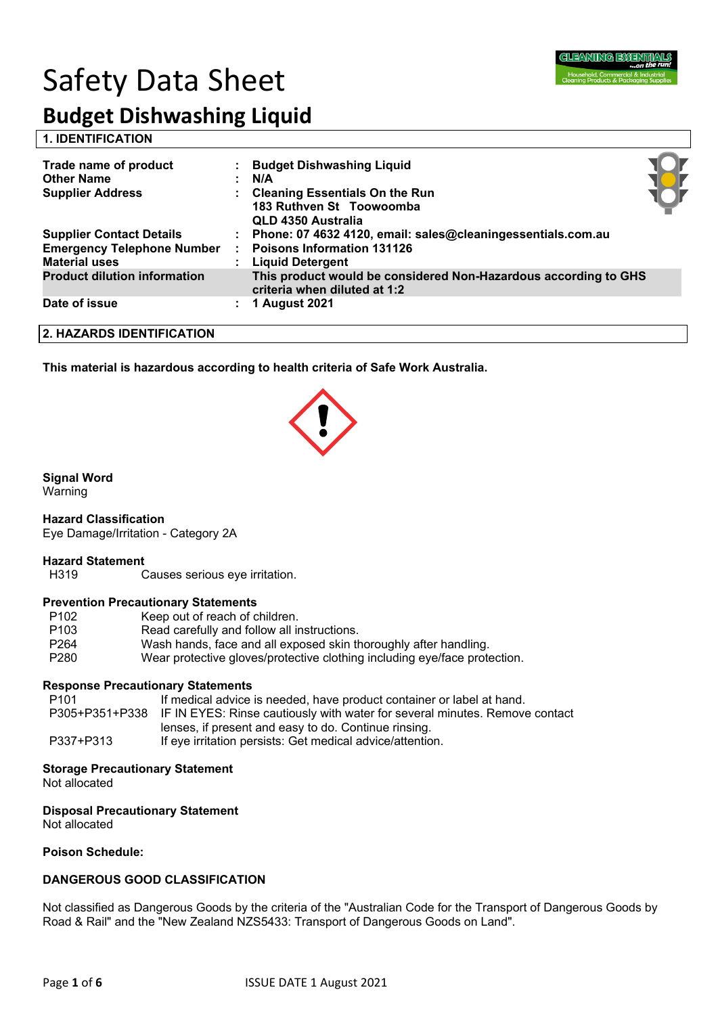# Safety Data Sheet



## **Budget Dishwashing Liquid**

**1. IDENTIFICATION** 

| Trade name of product<br><b>Other Name</b><br><b>Supplier Address</b>                        | <b>Budget Dishwashing Liquid</b><br>N/A<br><b>Cleaning Essentials On the Run</b><br>183 Ruthven St Toowoomba<br>QLD 4350 Australia |  |
|----------------------------------------------------------------------------------------------|------------------------------------------------------------------------------------------------------------------------------------|--|
| <b>Supplier Contact Details</b><br><b>Emergency Telephone Number</b><br><b>Material uses</b> | Phone: 07 4632 4120, email: sales@cleaningessentials.com.au<br><b>Poisons Information 131126</b><br>: Liquid Detergent             |  |
| <b>Product dilution information</b>                                                          | This product would be considered Non-Hazardous according to GHS<br>criteria when diluted at 1:2                                    |  |
| Date of issue                                                                                | <b>1 August 2021</b>                                                                                                               |  |

**2. HAZARDS IDENTIFICATION**

**This material is hazardous according to health criteria of Safe Work Australia.**

#### **Signal Word**

Warning

#### **Hazard Classification**

Eye Damage/Irritation - Category 2A

#### **Hazard Statement**

H319 Causes serious eye irritation.

#### **Prevention Precautionary Statements**

| P <sub>102</sub> | Keep out of reach of children.                                            |
|------------------|---------------------------------------------------------------------------|
| P <sub>103</sub> | Read carefully and follow all instructions.                               |
| P <sub>264</sub> | Wash hands, face and all exposed skin thoroughly after handling.          |
| P <sub>280</sub> | Wear protective gloves/protective clothing including eye/face protection. |

#### **Response Precautionary Statements**

| P101      | If medical advice is needed, have product container or label at hand.                      |
|-----------|--------------------------------------------------------------------------------------------|
|           | P305+P351+P338 IF IN EYES: Rinse cautiously with water for several minutes. Remove contact |
|           | lenses, if present and easy to do. Continue rinsing.                                       |
| P337+P313 | If eve irritation persists: Get medical advice/attention.                                  |

#### **Storage Precautionary Statement**

Not allocated

#### **Disposal Precautionary Statement**

Not allocated

#### **Poison Schedule:**

#### **DANGEROUS GOOD CLASSIFICATION**

Not classified as Dangerous Goods by the criteria of the "Australian Code for the Transport of Dangerous Goods by Road & Rail" and the "New Zealand NZS5433: Transport of Dangerous Goods on Land".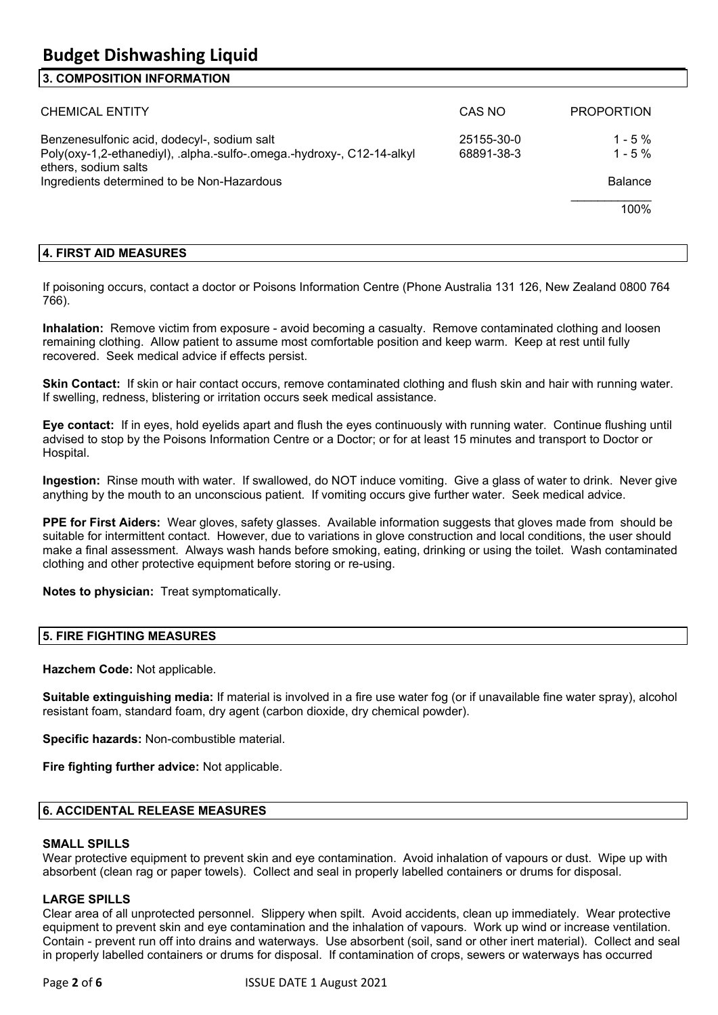#### **3. COMPOSITION INFORMATION**

| <b>CHEMICAL ENTITY</b>                                                                                                                                                                      | CAS NO                   | <b>PROPORTION</b>                                |
|---------------------------------------------------------------------------------------------------------------------------------------------------------------------------------------------|--------------------------|--------------------------------------------------|
| Benzenesulfonic acid, dodecyl-, sodium salt<br>Poly(oxy-1,2-ethanediyl), .alpha.-sulfo-.omega.-hydroxy-, C12-14-alkyl<br>ethers, sodium salts<br>Ingredients determined to be Non-Hazardous | 25155-30-0<br>68891-38-3 | $1 - 5\%$<br>$1 - 5\%$<br><b>Balance</b><br>100% |
|                                                                                                                                                                                             |                          |                                                  |

#### **4. FIRST AID MEASURES**

If poisoning occurs, contact a doctor or Poisons Information Centre (Phone Australia 131 126, New Zealand 0800 764 766).

**Inhalation:** Remove victim from exposure - avoid becoming a casualty. Remove contaminated clothing and loosen remaining clothing. Allow patient to assume most comfortable position and keep warm. Keep at rest until fully recovered. Seek medical advice if effects persist.

**Skin Contact:** If skin or hair contact occurs, remove contaminated clothing and flush skin and hair with running water. If swelling, redness, blistering or irritation occurs seek medical assistance.

**Eye contact:** If in eyes, hold eyelids apart and flush the eyes continuously with running water. Continue flushing until advised to stop by the Poisons Information Centre or a Doctor; or for at least 15 minutes and transport to Doctor or Hospital.

**Ingestion:** Rinse mouth with water. If swallowed, do NOT induce vomiting. Give a glass of water to drink. Never give anything by the mouth to an unconscious patient. If vomiting occurs give further water. Seek medical advice.

**PPE for First Aiders:** Wear gloves, safety glasses. Available information suggests that gloves made from should be suitable for intermittent contact. However, due to variations in glove construction and local conditions, the user should make a final assessment. Always wash hands before smoking, eating, drinking or using the toilet. Wash contaminated clothing and other protective equipment before storing or re-using.

**Notes to physician:** Treat symptomatically.

#### **5. FIRE FIGHTING MEASURES**

**Hazchem Code:** Not applicable.

**Suitable extinguishing media:** If material is involved in a fire use water fog (or if unavailable fine water spray), alcohol resistant foam, standard foam, dry agent (carbon dioxide, dry chemical powder).

**Specific hazards:** Non-combustible material.

**Fire fighting further advice:** Not applicable.

#### **6. ACCIDENTAL RELEASE MEASURES**

#### **SMALL SPILLS**

Wear protective equipment to prevent skin and eye contamination. Avoid inhalation of vapours or dust. Wipe up with absorbent (clean rag or paper towels). Collect and seal in properly labelled containers or drums for disposal.

#### **LARGE SPILLS**

Clear area of all unprotected personnel. Slippery when spilt. Avoid accidents, clean up immediately. Wear protective equipment to prevent skin and eye contamination and the inhalation of vapours. Work up wind or increase ventilation. Contain - prevent run off into drains and waterways. Use absorbent (soil, sand or other inert material). Collect and seal in properly labelled containers or drums for disposal. If contamination of crops, sewers or waterways has occurred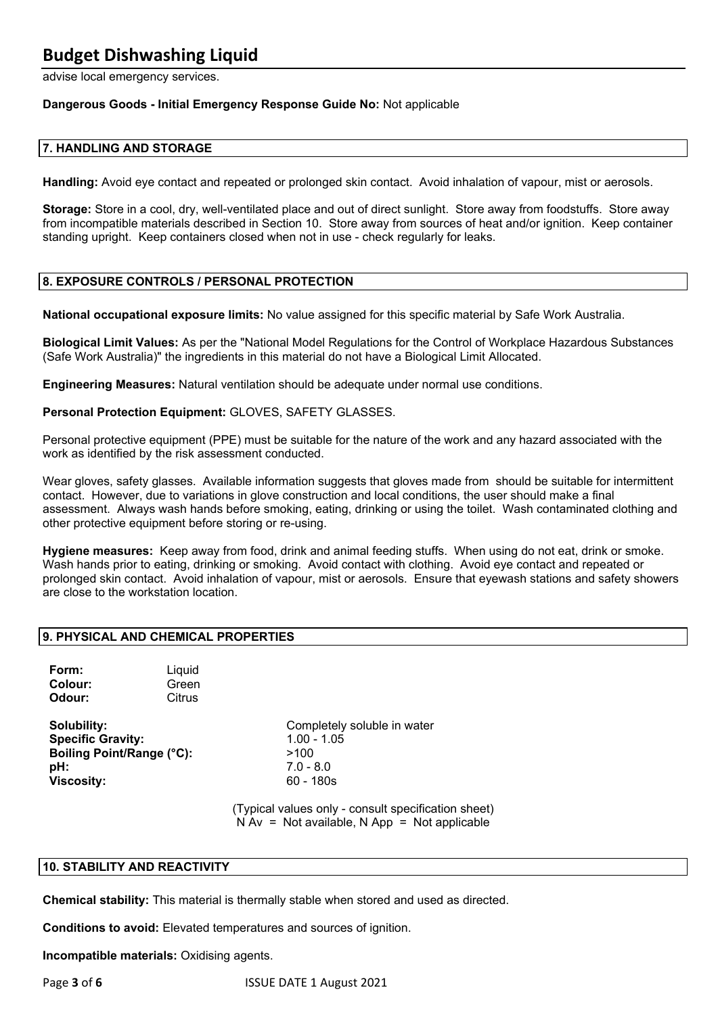#### **Budget Dishwashing Liquid**

advise local emergency services.

#### **Dangerous Goods - Initial Emergency Response Guide No:** Not applicable

#### **7. HANDLING AND STORAGE**

**Handling:** Avoid eye contact and repeated or prolonged skin contact. Avoid inhalation of vapour, mist or aerosols.

**Storage:** Store in a cool, dry, well-ventilated place and out of direct sunlight. Store away from foodstuffs. Store away from incompatible materials described in Section 10. Store away from sources of heat and/or ignition. Keep container standing upright. Keep containers closed when not in use - check regularly for leaks.

#### **8. EXPOSURE CONTROLS / PERSONAL PROTECTION**

**National occupational exposure limits:** No value assigned for this specific material by Safe Work Australia.

**Biological Limit Values:** As per the "National Model Regulations for the Control of Workplace Hazardous Substances (Safe Work Australia)" the ingredients in this material do not have a Biological Limit Allocated.

**Engineering Measures:** Natural ventilation should be adequate under normal use conditions.

**Personal Protection Equipment:** GLOVES, SAFETY GLASSES.

Personal protective equipment (PPE) must be suitable for the nature of the work and any hazard associated with the work as identified by the risk assessment conducted.

Wear gloves, safety glasses. Available information suggests that gloves made from should be suitable for intermittent contact. However, due to variations in glove construction and local conditions, the user should make a final assessment. Always wash hands before smoking, eating, drinking or using the toilet. Wash contaminated clothing and other protective equipment before storing or re-using.

**Hygiene measures:** Keep away from food, drink and animal feeding stuffs. When using do not eat, drink or smoke. Wash hands prior to eating, drinking or smoking. Avoid contact with clothing. Avoid eye contact and repeated or prolonged skin contact. Avoid inhalation of vapour, mist or aerosols. Ensure that eyewash stations and safety showers are close to the workstation location.

#### **9. PHYSICAL AND CHEMICAL PROPERTIES**

**Form:** Liquid **Colour:** Green **Odour:** Citrus

**Specific Gravity:** 1.00 - 1.05 **Boiling Point/Range (°C):** >100 **pH:** 7.0 - 8.0 **Viscosity:** 60 - 180s

**Solubility:** Completely soluble in water

(Typical values only - consult specification sheet)  $N Av = Not available, N App = Not applicable$ 

#### **10. STABILITY AND REACTIVITY**

**Chemical stability:** This material is thermally stable when stored and used as directed.

**Conditions to avoid:** Elevated temperatures and sources of ignition.

**Incompatible materials:** Oxidising agents.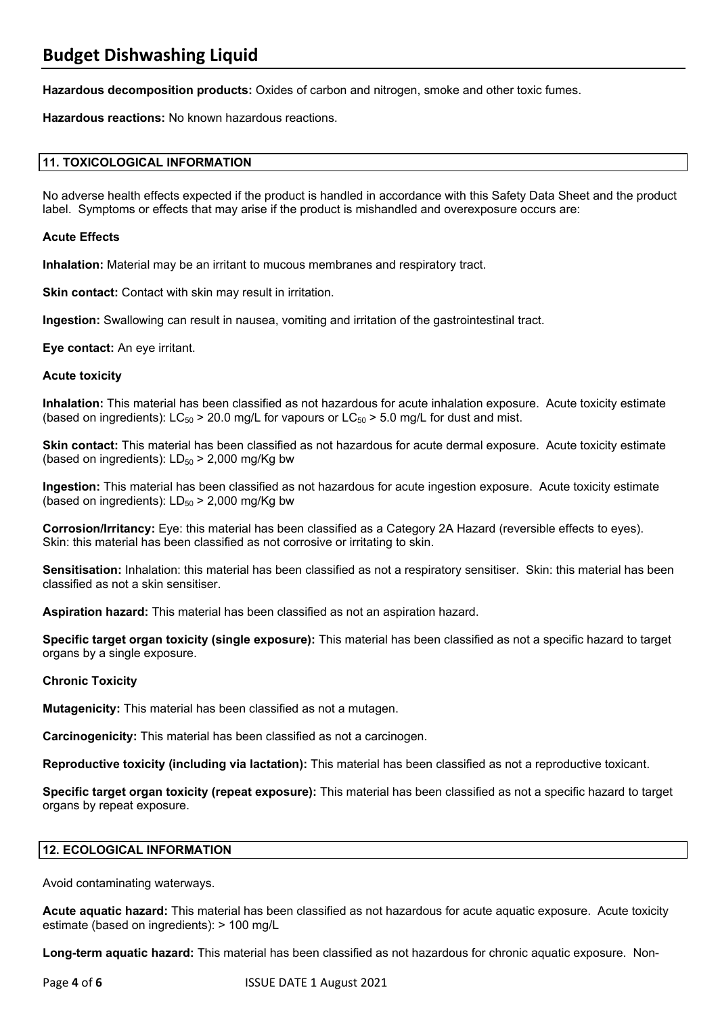**Hazardous decomposition products:** Oxides of carbon and nitrogen, smoke and other toxic fumes.

**Hazardous reactions:** No known hazardous reactions.

#### **11. TOXICOLOGICAL INFORMATION**

No adverse health effects expected if the product is handled in accordance with this Safety Data Sheet and the product label. Symptoms or effects that may arise if the product is mishandled and overexposure occurs are:

#### **Acute Effects**

**Inhalation:** Material may be an irritant to mucous membranes and respiratory tract.

**Skin contact:** Contact with skin may result in irritation.

**Ingestion:** Swallowing can result in nausea, vomiting and irritation of the gastrointestinal tract.

**Eye contact:** An eye irritant.

#### **Acute toxicity**

**Inhalation:** This material has been classified as not hazardous for acute inhalation exposure. Acute toxicity estimate (based on ingredients):  $LC_{50}$  > 20.0 mg/L for vapours or  $LC_{50}$  > 5.0 mg/L for dust and mist.

**Skin contact:** This material has been classified as not hazardous for acute dermal exposure. Acute toxicity estimate (based on ingredients):  $LD_{50}$  > 2,000 mg/Kg bw

**Ingestion:** This material has been classified as not hazardous for acute ingestion exposure. Acute toxicity estimate (based on ingredients):  $LD_{50}$  > 2,000 mg/Kg bw

**Corrosion/Irritancy:** Eye: this material has been classified as a Category 2A Hazard (reversible effects to eyes). Skin: this material has been classified as not corrosive or irritating to skin.

**Sensitisation:** Inhalation: this material has been classified as not a respiratory sensitiser. Skin: this material has been classified as not a skin sensitiser.

**Aspiration hazard:** This material has been classified as not an aspiration hazard.

**Specific target organ toxicity (single exposure):** This material has been classified as not a specific hazard to target organs by a single exposure.

#### **Chronic Toxicity**

**Mutagenicity:** This material has been classified as not a mutagen.

**Carcinogenicity:** This material has been classified as not a carcinogen.

**Reproductive toxicity (including via lactation):** This material has been classified as not a reproductive toxicant.

**Specific target organ toxicity (repeat exposure):** This material has been classified as not a specific hazard to target organs by repeat exposure.

#### **12. ECOLOGICAL INFORMATION**

Avoid contaminating waterways.

**Acute aquatic hazard:** This material has been classified as not hazardous for acute aquatic exposure. Acute toxicity estimate (based on ingredients): > 100 mg/L

**Long-term aquatic hazard:** This material has been classified as not hazardous for chronic aquatic exposure. Non-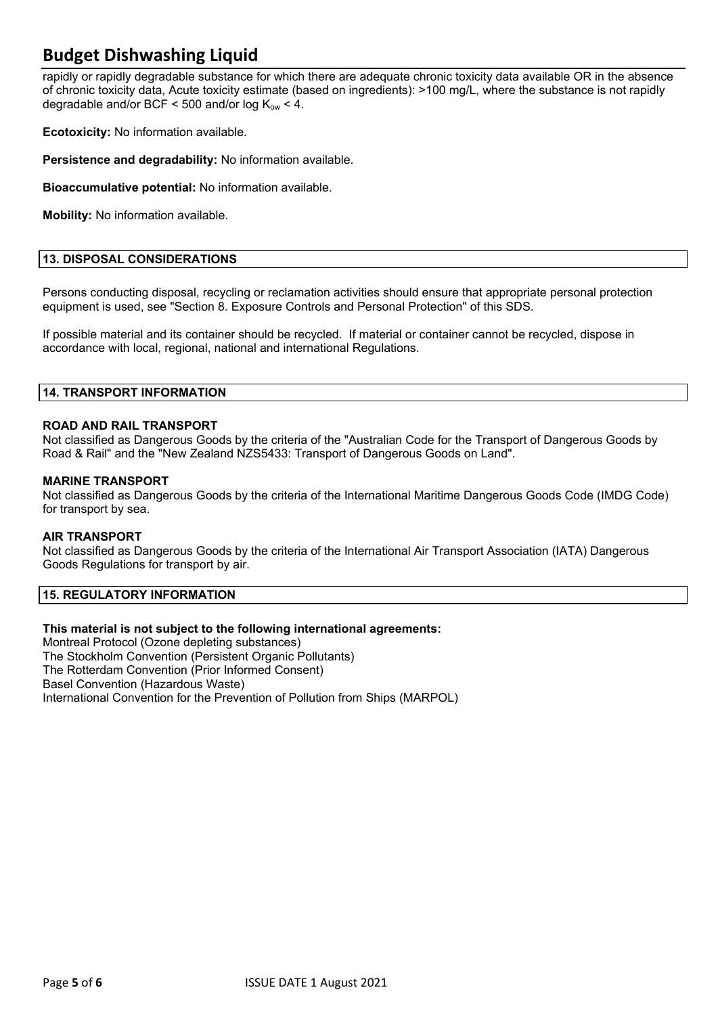### **Budget Dishwashing Liquid**

rapidly or rapidly degradable substance for which there are adequate chronic toxicity data available OR in the absence of chronic toxicity data, Acute toxicity estimate (based on ingredients): >100 mg/L, where the substance is not rapidly degradable and/or BCF  $\leq$  500 and/or log  $K_{\text{ow}}$   $\leq$  4.

**Ecotoxicity:** No information available.

**Persistence and degradability:** No information available.

**Bioaccumulative potential:** No information available.

**Mobility:** No information available.

#### **13. DISPOSAL CONSIDERATIONS**

Persons conducting disposal, recycling or reclamation activities should ensure that appropriate personal protection equipment is used, see "Section 8. Exposure Controls and Personal Protection" of this SDS.

If possible material and its container should be recycled. If material or container cannot be recycled, dispose in accordance with local, regional, national and international Regulations.

#### **14. TRANSPORT INFORMATION**

#### **ROAD AND RAIL TRANSPORT**

Not classified as Dangerous Goods by the criteria of the "Australian Code for the Transport of Dangerous Goods by Road & Rail" and the "New Zealand NZS5433: Transport of Dangerous Goods on Land".

#### **MARINE TRANSPORT**

Not classified as Dangerous Goods by the criteria of the International Maritime Dangerous Goods Code (IMDG Code) for transport by sea.

#### **AIR TRANSPORT**

Not classified as Dangerous Goods by the criteria of the International Air Transport Association (IATA) Dangerous Goods Regulations for transport by air.

#### **15. REGULATORY INFORMATION**

#### **This material is not subject to the following international agreements:**

Montreal Protocol (Ozone depleting substances) The Stockholm Convention (Persistent Organic Pollutants) The Rotterdam Convention (Prior Informed Consent) Basel Convention (Hazardous Waste) International Convention for the Prevention of Pollution from Ships (MARPOL)